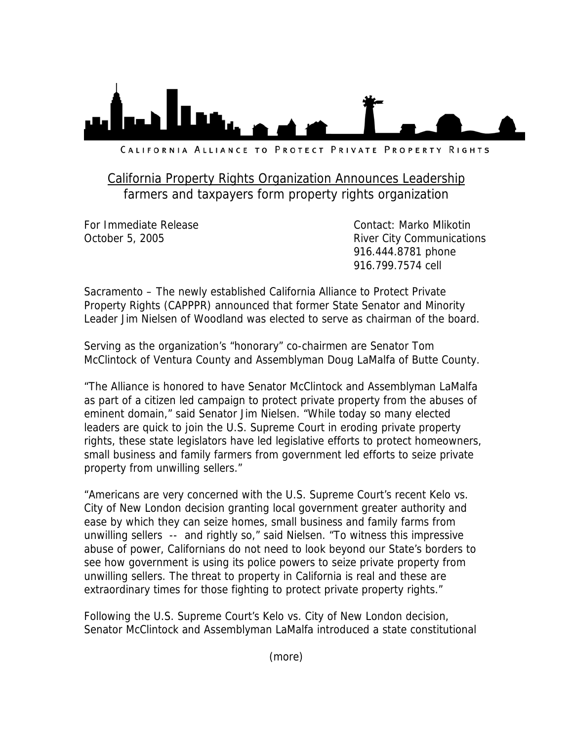

CALIFORNIA ALLIANCE TO PROTECT PRIVATE PROPERTY RIGHTS

## California Property Rights Organization Announces Leadership farmers and taxpayers form property rights organization

For Immediate Release Contact: Marko Mlikotin October 5, 2005 **River City Communications**  916.444.8781 phone 916.799.7574 cell

Sacramento – The newly established California Alliance to Protect Private Property Rights (CAPPPR) announced that former State Senator and Minority Leader Jim Nielsen of Woodland was elected to serve as chairman of the board.

Serving as the organization's "honorary" co-chairmen are Senator Tom McClintock of Ventura County and Assemblyman Doug LaMalfa of Butte County.

"The Alliance is honored to have Senator McClintock and Assemblyman LaMalfa as part of a citizen led campaign to protect private property from the abuses of eminent domain," said Senator Jim Nielsen. "While today so many elected leaders are quick to join the U.S. Supreme Court in eroding private property rights, these state legislators have led legislative efforts to protect homeowners, small business and family farmers from government led efforts to seize private property from unwilling sellers."

"Americans are very concerned with the U.S. Supreme Court's recent Kelo vs. City of New London decision granting local government greater authority and ease by which they can seize homes, small business and family farms from unwilling sellers -- and rightly so," said Nielsen. "To witness this impressive abuse of power, Californians do not need to look beyond our State's borders to see how government is using its police powers to seize private property from unwilling sellers. The threat to property in California is real and these are extraordinary times for those fighting to protect private property rights."

Following the U.S. Supreme Court's Kelo vs. City of New London decision, Senator McClintock and Assemblyman LaMalfa introduced a state constitutional

(more)